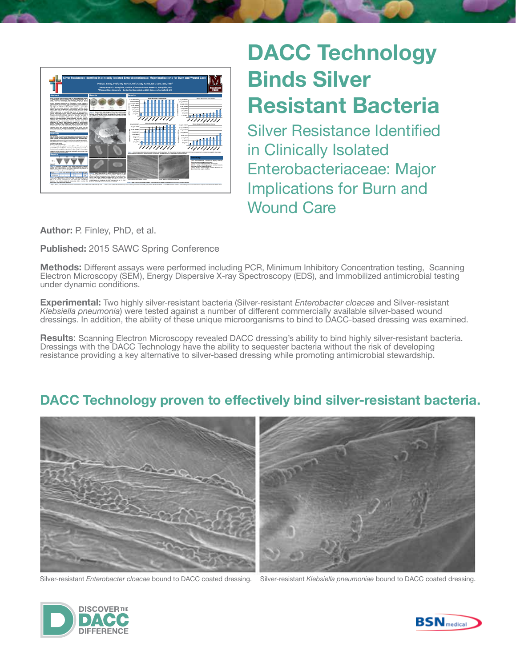

## **DACC Technology Binds Silver Resistant Bacteria**

Silver Resistance Identified in Clinically Isolated Enterobacteriaceae: Major Implications for Burn and Wound Care

**Author:** P. Finley, PhD, et al.

**Published:** 2015 SAWC Spring Conference

**Methods:** Different assays were performed including PCR, Minimum Inhibitory Concentration testing, Scanning Electron Microscopy (SEM), Energy Dispersive X-ray Spectroscopy (EDS), and Immobilized antimicrobial testing under dynamic conditions.

**Experimental:** Two highly silver-resistant bacteria (Silver-resistant *Enterobacter cloacae* and Silver-resistant *Klebsiella pneumonia*) were tested against a number of different commercially available silver-based wound dressings. In addition, the ability of these unique microorganisms to bind to DACC-based dressing was examined.

**Results**: Scanning Electron Microscopy revealed DACC dressing's ability to bind highly silver-resistant bacteria. Dressings with the DACC Technology have the ability to sequester bacteria without the risk of developing resistance providing a key alternative to silver-based dressing while promoting antimicrobial stewardship.

## **DACC Technology proven to effectively bind silver-resistant bacteria.**



Silver-resistant *Enterobacter cloacae* bound to DACC coated dressing. Silver-resistant *Klebsiella pneumoniae* bound to DACC coated dressing.